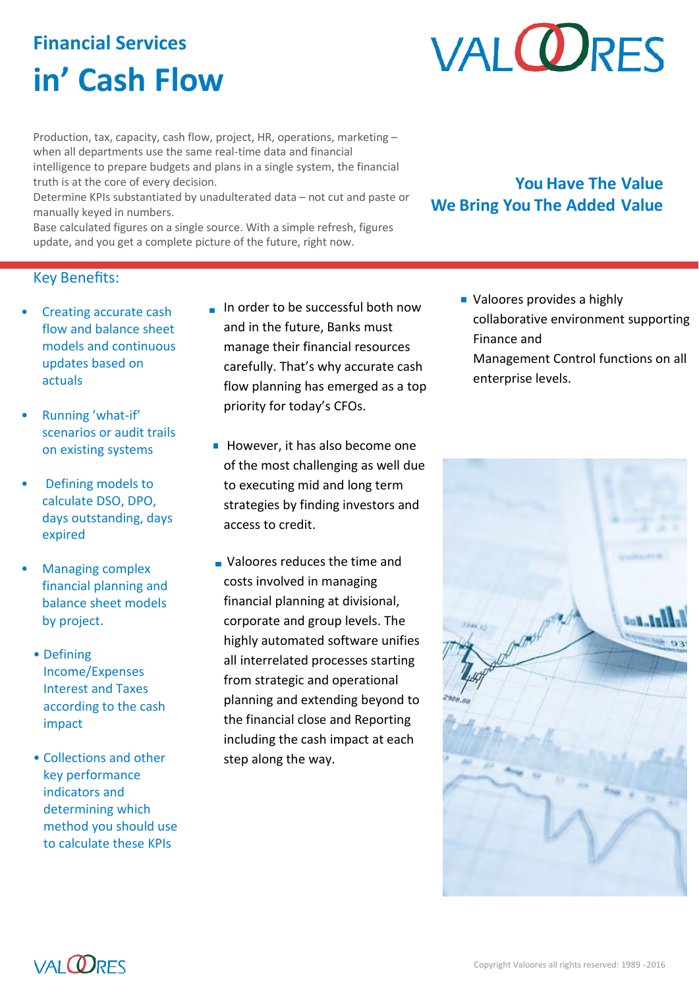# **Financial Services in' Cash Flow**

# **VALORES**

Production, tax, capacity, cash flow, project, HR, operations, marketing – when all departments use the same real-time data and financial intelligence to prepare budgets and plans in a single system, the financial truth is at the core of every decision.

Determine KPIs substantiated by unadulterated data – not cut and paste or manually keyed in numbers.

Base calculated figures on a single source. With a simple refresh, figures update, and you get a complete picture of the future, right now.

# **You Have The Value We Bring You The Added Value**

## Key Benefits:

- Creating accurate cash flow and balance sheet models and continuous updates based on actuals
- Running 'what-if' scenarios or audit trails on existing systems
- Defining models to calculate DSO, DPO, days outstanding, days expired
- Managing complex financial planning and balance sheet models by project.
	- Defining Income/Expenses Interest and Taxes according to the cash impact
	- Collections and other key performance indicators and determining which method you should use to calculate these KPIs
- In order to be successful both now and in the future, Banks must manage their financial resources carefully. That's why accurate cash flow planning has emerged as a top priority for today's CFOs.
- However, it has also become one of the most challenging as well due to executing mid and long term strategies by finding investors and access to credit.
- **Valoores reduces the time and** costs involved in managing financial planning at divisional, corporate and group levels. The highly automated software unifies all interrelated processes starting from strategic and operational planning and extending beyond to the financial close and Reporting including the cash impact at each step along the way.

**Valoores provides a highly** collaborative environment supporting Finance and Management Control functions on all enterprise levels.